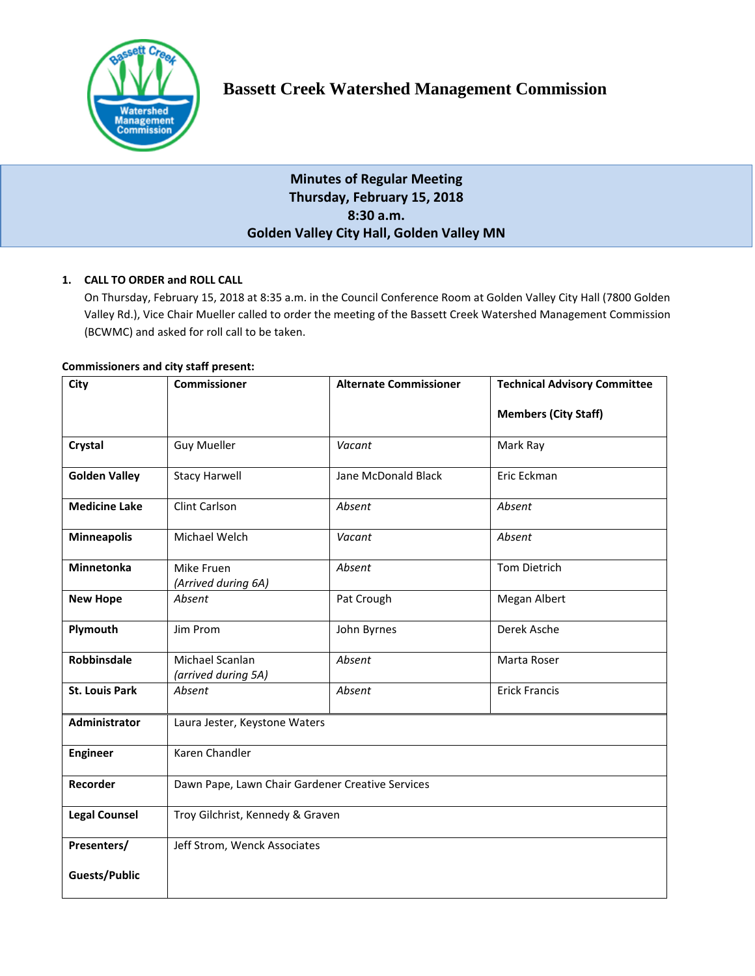

# **Bassett Creek Watershed Management Commission**

## **Minutes of Regular Meeting Thursday, February 15, 2018 8:30 a.m. Golden Valley City Hall, Golden Valley MN**

## **1. CALL TO ORDER and ROLL CALL**

On Thursday, February 15, 2018 at 8:35 a.m. in the Council Conference Room at Golden Valley City Hall (7800 Golden Valley Rd.), Vice Chair Mueller called to order the meeting of the Bassett Creek Watershed Management Commission (BCWMC) and asked for roll call to be taken.

## **Commissioners and city staff present:**

| City                  | <b>Commissioner</b>                              | <b>Alternate Commissioner</b> | <b>Technical Advisory Committee</b> |
|-----------------------|--------------------------------------------------|-------------------------------|-------------------------------------|
|                       |                                                  |                               | <b>Members (City Staff)</b>         |
| Crystal               | <b>Guy Mueller</b>                               | Vacant                        | Mark Ray                            |
| <b>Golden Valley</b>  | <b>Stacy Harwell</b>                             | Jane McDonald Black           | Eric Eckman                         |
| <b>Medicine Lake</b>  | Clint Carlson                                    | Absent                        | Absent                              |
| <b>Minneapolis</b>    | Michael Welch                                    | Vacant                        | Absent                              |
| Minnetonka            | Mike Fruen<br>(Arrived during 6A)                | Absent                        | <b>Tom Dietrich</b>                 |
| <b>New Hope</b>       | Absent                                           | Pat Crough                    | Megan Albert                        |
| Plymouth              | Jim Prom                                         | John Byrnes                   | Derek Asche                         |
| Robbinsdale           | Michael Scanlan<br>(arrived during 5A)           | Absent                        | Marta Roser                         |
| <b>St. Louis Park</b> | Absent                                           | Absent                        | <b>Erick Francis</b>                |
| Administrator         | Laura Jester, Keystone Waters                    |                               |                                     |
| <b>Engineer</b>       | Karen Chandler                                   |                               |                                     |
| Recorder              | Dawn Pape, Lawn Chair Gardener Creative Services |                               |                                     |
| <b>Legal Counsel</b>  | Troy Gilchrist, Kennedy & Graven                 |                               |                                     |
| Presenters/           | Jeff Strom, Wenck Associates                     |                               |                                     |
| Guests/Public         |                                                  |                               |                                     |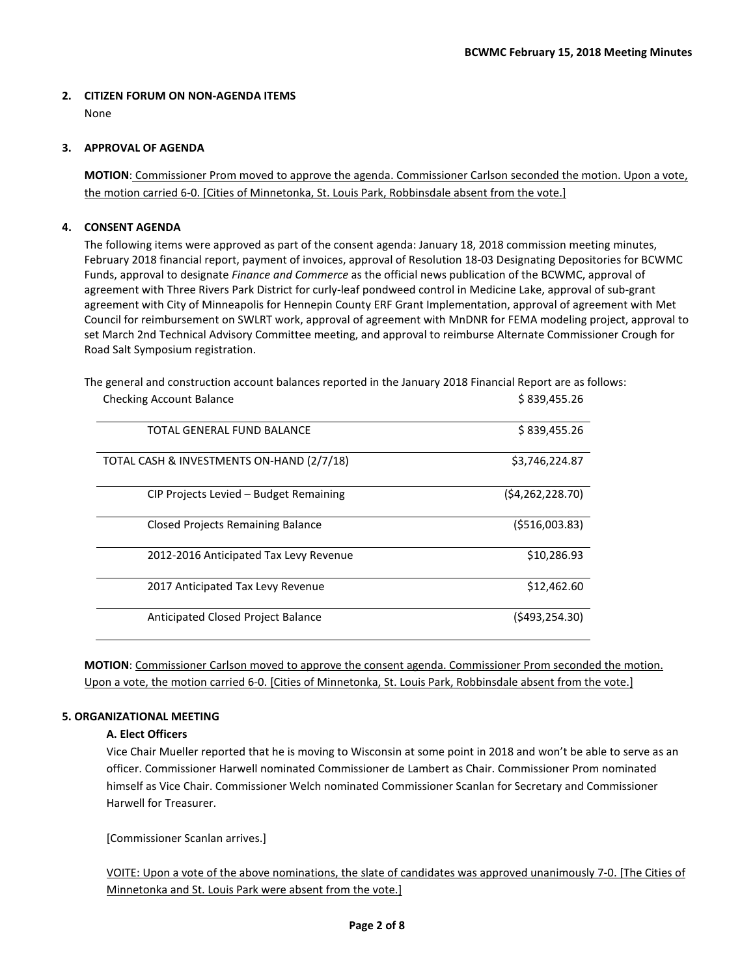## **2. CITIZEN FORUM ON NON-AGENDA ITEMS**

None

## **3. APPROVAL OF AGENDA**

**MOTION**: Commissioner Prom moved to approve the agenda. Commissioner Carlson seconded the motion. Upon a vote, the motion carried 6-0. [Cities of Minnetonka, St. Louis Park, Robbinsdale absent from the vote.]

## **4. CONSENT AGENDA**

The following items were approved as part of the consent agenda: January 18, 2018 commission meeting minutes, February 2018 financial report, payment of invoices, approval of Resolution 18-03 Designating Depositories for BCWMC Funds, approval to designate *Finance and Commerce* as the official news publication of the BCWMC, approval of agreement with Three Rivers Park District for curly-leaf pondweed control in Medicine Lake, approval of sub-grant agreement with City of Minneapolis for Hennepin County ERF Grant Implementation, approval of agreement with Met Council for reimbursement on SWLRT work, approval of agreement with MnDNR for FEMA modeling project, approval to set March 2nd Technical Advisory Committee meeting, and approval to reimburse Alternate Commissioner Crough for Road Salt Symposium registration.

Checking Account Balance **\$ 839,455.26** 839,455.26 TOTAL GENERAL FUND BALANCE **the set of the set of the set of the set of the set of the set of the set of the set of the set of the set of the set of the set of the set of the set of the set of the set of the set of the set** TOTAL CASH & INVESTMENTS ON-HAND (2/7/18) \$3,746,224.87 CIP Projects Levied – Budget Remaining (\$4,262,228.70) Closed Projects Remaining Balance (\$516,003.83) 2012-2016 Anticipated Tax Levy Revenue  $$10,286.93$ 

The general and construction account balances reported in the January 2018 Financial Report are as follows:

**MOTION**: Commissioner Carlson moved to approve the consent agenda. Commissioner Prom seconded the motion.

Upon a vote, the motion carried 6-0. [Cities of Minnetonka, St. Louis Park, Robbinsdale absent from the vote.]

2017 Anticipated Tax Levy Revenue  $$12,462.60$ 

Anticipated Closed Project Balance (\$493,254.30)

## **5. ORGANIZATIONAL MEETING**

## **A. Elect Officers**

Vice Chair Mueller reported that he is moving to Wisconsin at some point in 2018 and won't be able to serve as an officer. Commissioner Harwell nominated Commissioner de Lambert as Chair. Commissioner Prom nominated himself as Vice Chair. Commissioner Welch nominated Commissioner Scanlan for Secretary and Commissioner Harwell for Treasurer.

[Commissioner Scanlan arrives.]

VOITE: Upon a vote of the above nominations, the slate of candidates was approved unanimously 7-0. [The Cities of Minnetonka and St. Louis Park were absent from the vote.]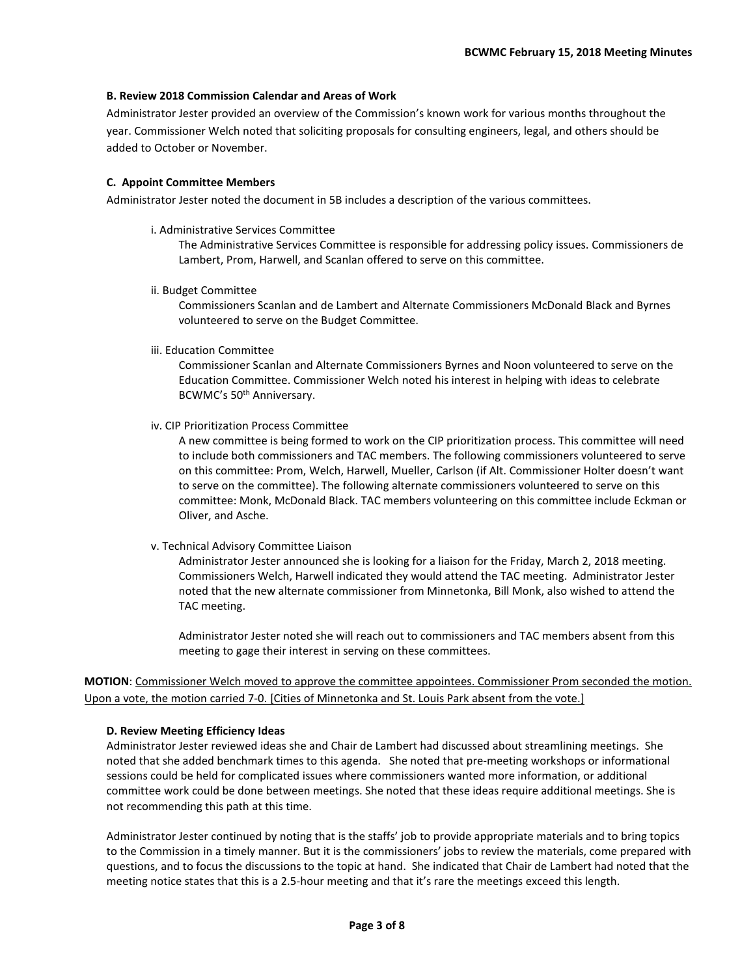#### **B. Review 2018 Commission Calendar and Areas of Work**

Administrator Jester provided an overview of the Commission's known work for various months throughout the year. Commissioner Welch noted that soliciting proposals for consulting engineers, legal, and others should be added to October or November.

## **C. Appoint Committee Members**

Administrator Jester noted the document in 5B includes a description of the various committees.

i. Administrative Services Committee

The Administrative Services Committee is responsible for addressing policy issues. Commissioners de Lambert, Prom, Harwell, and Scanlan offered to serve on this committee.

ii. Budget Committee

Commissioners Scanlan and de Lambert and Alternate Commissioners McDonald Black and Byrnes volunteered to serve on the Budget Committee.

iii. Education Committee

Commissioner Scanlan and Alternate Commissioners Byrnes and Noon volunteered to serve on the Education Committee. Commissioner Welch noted his interest in helping with ideas to celebrate BCWMC's 50th Anniversary.

iv. CIP Prioritization Process Committee

A new committee is being formed to work on the CIP prioritization process. This committee will need to include both commissioners and TAC members. The following commissioners volunteered to serve on this committee: Prom, Welch, Harwell, Mueller, Carlson (if Alt. Commissioner Holter doesn't want to serve on the committee). The following alternate commissioners volunteered to serve on this committee: Monk, McDonald Black. TAC members volunteering on this committee include Eckman or Oliver, and Asche.

#### v. Technical Advisory Committee Liaison

Administrator Jester announced she is looking for a liaison for the Friday, March 2, 2018 meeting. Commissioners Welch, Harwell indicated they would attend the TAC meeting. Administrator Jester noted that the new alternate commissioner from Minnetonka, Bill Monk, also wished to attend the TAC meeting.

Administrator Jester noted she will reach out to commissioners and TAC members absent from this meeting to gage their interest in serving on these committees.

**MOTION**: Commissioner Welch moved to approve the committee appointees. Commissioner Prom seconded the motion. Upon a vote, the motion carried 7-0. [Cities of Minnetonka and St. Louis Park absent from the vote.]

#### **D. Review Meeting Efficiency Ideas**

Administrator Jester reviewed ideas she and Chair de Lambert had discussed about streamlining meetings. She noted that she added benchmark times to this agenda. She noted that pre-meeting workshops or informational sessions could be held for complicated issues where commissioners wanted more information, or additional committee work could be done between meetings. She noted that these ideas require additional meetings. She is not recommending this path at this time.

Administrator Jester continued by noting that is the staffs' job to provide appropriate materials and to bring topics to the Commission in a timely manner. But it is the commissioners' jobs to review the materials, come prepared with questions, and to focus the discussions to the topic at hand. She indicated that Chair de Lambert had noted that the meeting notice states that this is a 2.5-hour meeting and that it's rare the meetings exceed this length.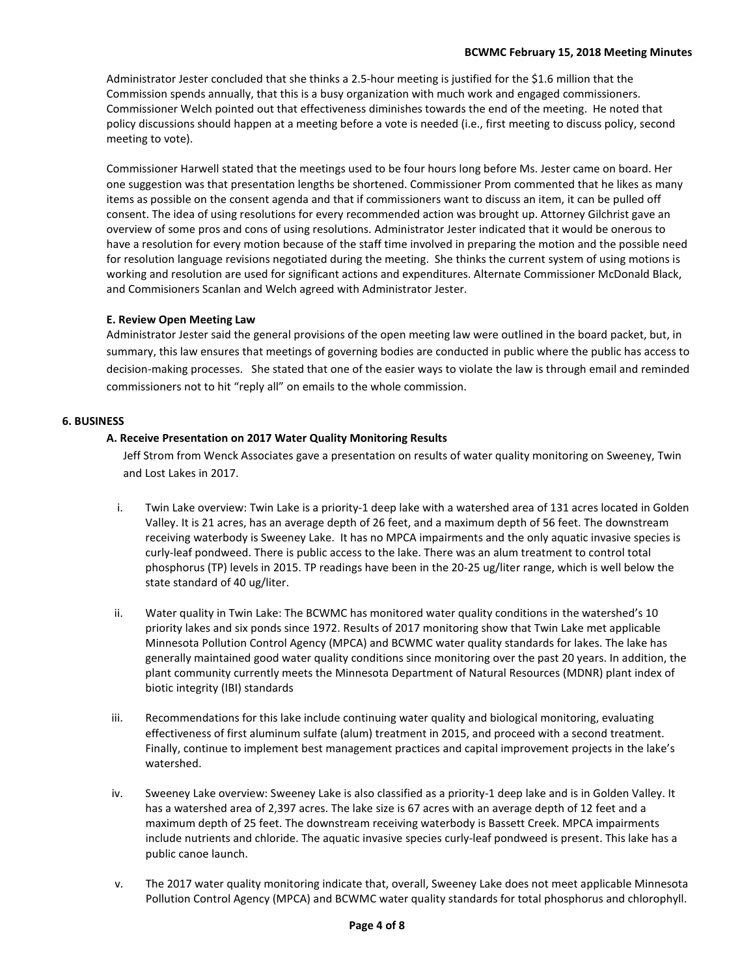Administrator Jester concluded that she thinks a 2.5-hour meeting is justified for the \$1.6 million that the Commission spends annually, that this is a busy organization with much work and engaged commissioners. Commissioner Welch pointed out that effectiveness diminishes towards the end of the meeting. He noted that policy discussions should happen at a meeting before a vote is needed (i.e., first meeting to discuss policy, second meeting to vote).

Commissioner Harwell stated that the meetings used to be four hours long before Ms. Jester came on board. Her one suggestion was that presentation lengths be shortened. Commissioner Prom commented that he likes as many items as possible on the consent agenda and that if commissioners want to discuss an item, it can be pulled off consent. The idea of using resolutions for every recommended action was brought up. Attorney Gilchrist gave an overview of some pros and cons of using resolutions. Administrator Jester indicated that it would be onerous to have a resolution for every motion because of the staff time involved in preparing the motion and the possible need for resolution language revisions negotiated during the meeting. She thinks the current system of using motions is working and resolution are used for significant actions and expenditures. Alternate Commissioner McDonald Black, and Commisioners Scanlan and Welch agreed with Administrator Jester.

#### **E. Review Open Meeting Law**

Administrator Jester said the general provisions of the open meeting law were outlined in the board packet, but, in summary, this law ensures that meetings of governing bodies are conducted in public where the public has access to decision-making processes. She stated that one of the easier ways to violate the law is through email and reminded commissioners not to hit "reply all" on emails to the whole commission.

#### **6. BUSINESS**

#### **A. Receive Presentation on 2017 Water Quality Monitoring Results**

Jeff Strom from Wenck Associates gave a presentation on results of water quality monitoring on Sweeney, Twin and Lost Lakes in 2017.

- i. Twin Lake overview: Twin Lake is a priority-1 deep lake with a watershed area of 131 acres located in Golden Valley. It is 21 acres, has an average depth of 26 feet, and a maximum depth of 56 feet. The downstream receiving waterbody is Sweeney Lake. It has no MPCA impairments and the only aquatic invasive species is curly-leaf pondweed. There is public access to the lake. There was an alum treatment to control total phosphorus (TP) levels in 2015. TP readings have been in the 20-25 ug/liter range, which is well below the state standard of 40 ug/liter.
- ii. Water quality in Twin Lake: The BCWMC has monitored water quality conditions in the watershed's 10 priority lakes and six ponds since 1972. Results of 2017 monitoring show that Twin Lake met applicable Minnesota Pollution Control Agency (MPCA) and BCWMC water quality standards for lakes. The lake has generally maintained good water quality conditions since monitoring over the past 20 years. In addition, the plant community currently meets the Minnesota Department of Natural Resources (MDNR) plant index of biotic integrity (IBI) standards
- iii. Recommendations for this lake include continuing water quality and biological monitoring, evaluating effectiveness of first aluminum sulfate (alum) treatment in 2015, and proceed with a second treatment. Finally, continue to implement best management practices and capital improvement projects in the lake's watershed.
- iv. Sweeney Lake overview: Sweeney Lake is also classified as a priority-1 deep lake and is in Golden Valley. It has a watershed area of 2,397 acres. The lake size is 67 acres with an average depth of 12 feet and a maximum depth of 25 feet. The downstream receiving waterbody is Bassett Creek. MPCA impairments include nutrients and chloride. The aquatic invasive species curly-leaf pondweed is present. This lake has a public canoe launch.
- v. The 2017 water quality monitoring indicate that, overall, Sweeney Lake does not meet applicable Minnesota Pollution Control Agency (MPCA) and BCWMC water quality standards for total phosphorus and chlorophyll.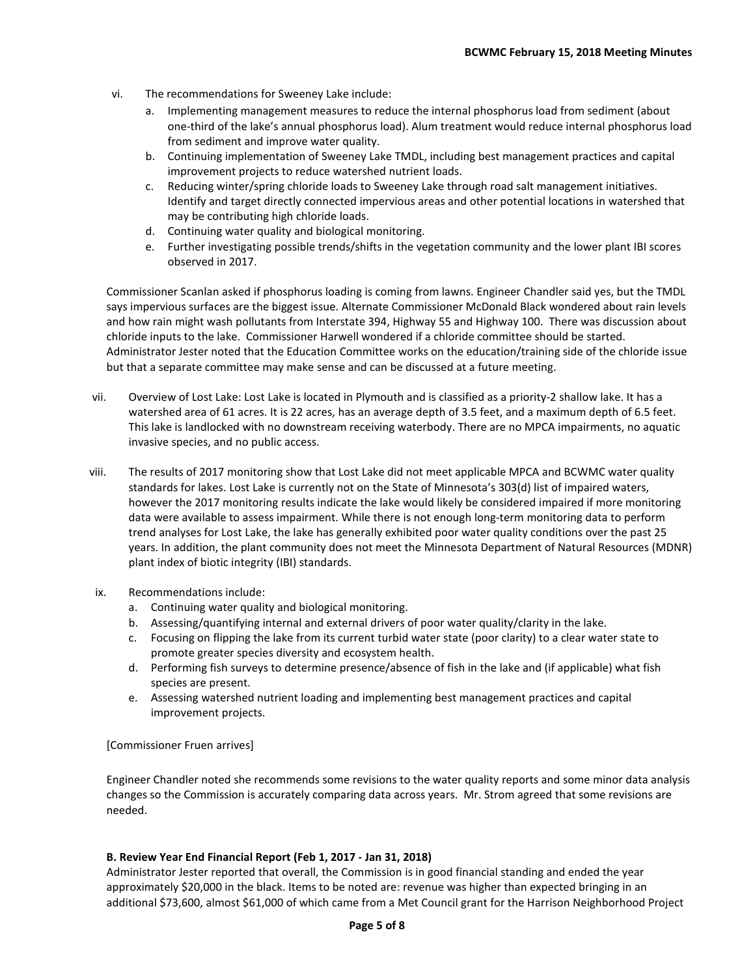- vi. The recommendations for Sweeney Lake include:
	- a. Implementing management measures to reduce the internal phosphorus load from sediment (about one-third of the lake's annual phosphorus load). Alum treatment would reduce internal phosphorus load from sediment and improve water quality.
	- b. Continuing implementation of Sweeney Lake TMDL, including best management practices and capital improvement projects to reduce watershed nutrient loads.
	- c. Reducing winter/spring chloride loads to Sweeney Lake through road salt management initiatives. Identify and target directly connected impervious areas and other potential locations in watershed that may be contributing high chloride loads.
	- d. Continuing water quality and biological monitoring.
	- e. Further investigating possible trends/shifts in the vegetation community and the lower plant IBI scores observed in 2017.

Commissioner Scanlan asked if phosphorus loading is coming from lawns. Engineer Chandler said yes, but the TMDL says impervious surfaces are the biggest issue. Alternate Commissioner McDonald Black wondered about rain levels and how rain might wash pollutants from Interstate 394, Highway 55 and Highway 100. There was discussion about chloride inputs to the lake. Commissioner Harwell wondered if a chloride committee should be started. Administrator Jester noted that the Education Committee works on the education/training side of the chloride issue but that a separate committee may make sense and can be discussed at a future meeting.

- vii. Overview of Lost Lake: Lost Lake is located in Plymouth and is classified as a priority-2 shallow lake. It has a watershed area of 61 acres. It is 22 acres, has an average depth of 3.5 feet, and a maximum depth of 6.5 feet. This lake is landlocked with no downstream receiving waterbody. There are no MPCA impairments, no aquatic invasive species, and no public access.
- viii. The results of 2017 monitoring show that Lost Lake did not meet applicable MPCA and BCWMC water quality standards for lakes. Lost Lake is currently not on the State of Minnesota's 303(d) list of impaired waters, however the 2017 monitoring results indicate the lake would likely be considered impaired if more monitoring data were available to assess impairment. While there is not enough long-term monitoring data to perform trend analyses for Lost Lake, the lake has generally exhibited poor water quality conditions over the past 25 years. In addition, the plant community does not meet the Minnesota Department of Natural Resources (MDNR) plant index of biotic integrity (IBI) standards.
- ix. Recommendations include:
	- a. Continuing water quality and biological monitoring.
	- b. Assessing/quantifying internal and external drivers of poor water quality/clarity in the lake.
	- c. Focusing on flipping the lake from its current turbid water state (poor clarity) to a clear water state to promote greater species diversity and ecosystem health.
	- d. Performing fish surveys to determine presence/absence of fish in the lake and (if applicable) what fish species are present.
	- e. Assessing watershed nutrient loading and implementing best management practices and capital improvement projects.

#### [Commissioner Fruen arrives]

Engineer Chandler noted she recommends some revisions to the water quality reports and some minor data analysis changes so the Commission is accurately comparing data across years. Mr. Strom agreed that some revisions are needed.

#### **B. Review Year End Financial Report (Feb 1, 2017 - Jan 31, 2018)**

Administrator Jester reported that overall, the Commission is in good financial standing and ended the year approximately \$20,000 in the black. Items to be noted are: revenue was higher than expected bringing in an additional \$73,600, almost \$61,000 of which came from a Met Council grant for the Harrison Neighborhood Project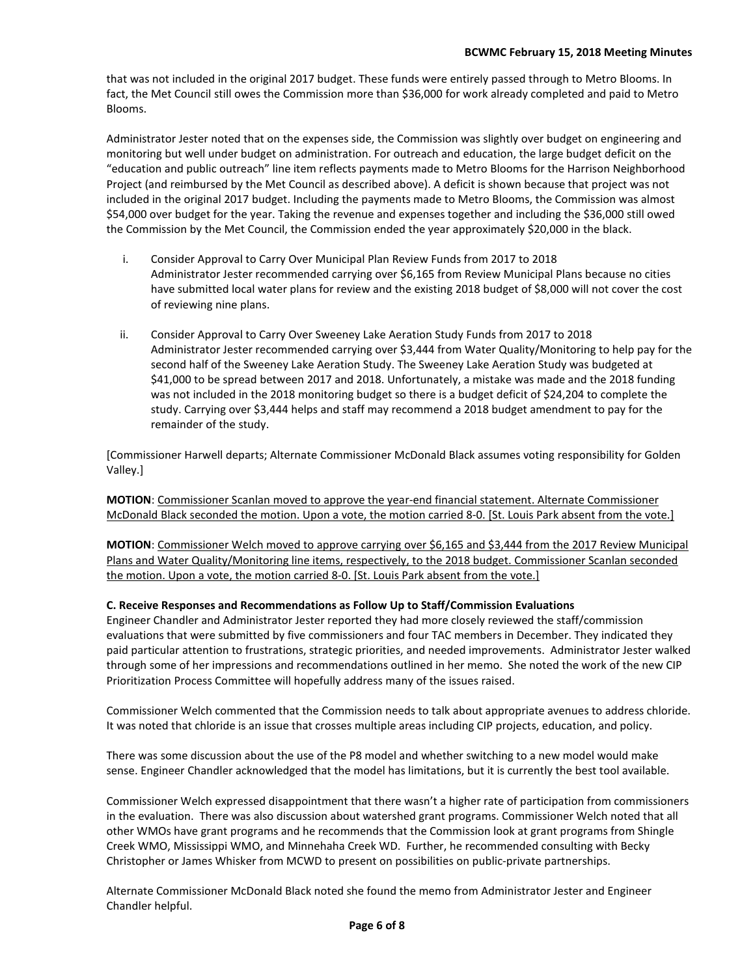that was not included in the original 2017 budget. These funds were entirely passed through to Metro Blooms. In fact, the Met Council still owes the Commission more than \$36,000 for work already completed and paid to Metro Blooms.

Administrator Jester noted that on the expenses side, the Commission was slightly over budget on engineering and monitoring but well under budget on administration. For outreach and education, the large budget deficit on the "education and public outreach" line item reflects payments made to Metro Blooms for the Harrison Neighborhood Project (and reimbursed by the Met Council as described above). A deficit is shown because that project was not included in the original 2017 budget. Including the payments made to Metro Blooms, the Commission was almost \$54,000 over budget for the year. Taking the revenue and expenses together and including the \$36,000 still owed the Commission by the Met Council, the Commission ended the year approximately \$20,000 in the black.

- i. Consider Approval to Carry Over Municipal Plan Review Funds from 2017 to 2018 Administrator Jester recommended carrying over \$6,165 from Review Municipal Plans because no cities have submitted local water plans for review and the existing 2018 budget of \$8,000 will not cover the cost of reviewing nine plans.
- ii. Consider Approval to Carry Over Sweeney Lake Aeration Study Funds from 2017 to 2018 Administrator Jester recommended carrying over \$3,444 from Water Quality/Monitoring to help pay for the second half of the Sweeney Lake Aeration Study. The Sweeney Lake Aeration Study was budgeted at \$41,000 to be spread between 2017 and 2018. Unfortunately, a mistake was made and the 2018 funding was not included in the 2018 monitoring budget so there is a budget deficit of \$24,204 to complete the study. Carrying over \$3,444 helps and staff may recommend a 2018 budget amendment to pay for the remainder of the study.

[Commissioner Harwell departs; Alternate Commissioner McDonald Black assumes voting responsibility for Golden Valley.]

**MOTION**: Commissioner Scanlan moved to approve the year-end financial statement. Alternate Commissioner McDonald Black seconded the motion. Upon a vote, the motion carried 8-0. [St. Louis Park absent from the vote.]

**MOTION**: Commissioner Welch moved to approve carrying over \$6,165 and \$3,444 from the 2017 Review Municipal Plans and Water Quality/Monitoring line items, respectively, to the 2018 budget. Commissioner Scanlan seconded the motion. Upon a vote, the motion carried 8-0. [St. Louis Park absent from the vote.]

#### **C. Receive Responses and Recommendations as Follow Up to Staff/Commission Evaluations**

Engineer Chandler and Administrator Jester reported they had more closely reviewed the staff/commission evaluations that were submitted by five commissioners and four TAC members in December. They indicated they paid particular attention to frustrations, strategic priorities, and needed improvements. Administrator Jester walked through some of her impressions and recommendations outlined in her memo. She noted the work of the new CIP Prioritization Process Committee will hopefully address many of the issues raised.

Commissioner Welch commented that the Commission needs to talk about appropriate avenues to address chloride. It was noted that chloride is an issue that crosses multiple areas including CIP projects, education, and policy.

There was some discussion about the use of the P8 model and whether switching to a new model would make sense. Engineer Chandler acknowledged that the model has limitations, but it is currently the best tool available.

Commissioner Welch expressed disappointment that there wasn't a higher rate of participation from commissioners in the evaluation. There was also discussion about watershed grant programs. Commissioner Welch noted that all other WMOs have grant programs and he recommends that the Commission look at grant programs from Shingle Creek WMO, Mississippi WMO, and Minnehaha Creek WD. Further, he recommended consulting with Becky Christopher or James Whisker from MCWD to present on possibilities on public-private partnerships.

Alternate Commissioner McDonald Black noted she found the memo from Administrator Jester and Engineer Chandler helpful.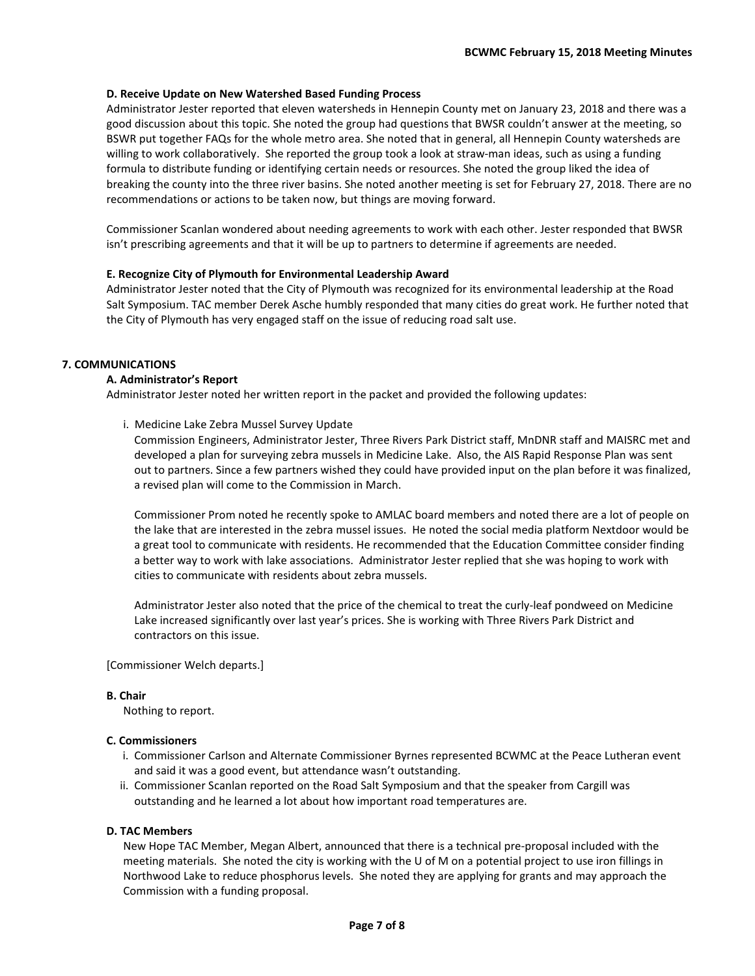## **D. Receive Update on New Watershed Based Funding Process**

Administrator Jester reported that eleven watersheds in Hennepin County met on January 23, 2018 and there was a good discussion about this topic. She noted the group had questions that BWSR couldn't answer at the meeting, so BSWR put together FAQs for the whole metro area. She noted that in general, all Hennepin County watersheds are willing to work collaboratively. She reported the group took a look at straw-man ideas, such as using a funding formula to distribute funding or identifying certain needs or resources. She noted the group liked the idea of breaking the county into the three river basins. She noted another meeting is set for February 27, 2018. There are no recommendations or actions to be taken now, but things are moving forward.

Commissioner Scanlan wondered about needing agreements to work with each other. Jester responded that BWSR isn't prescribing agreements and that it will be up to partners to determine if agreements are needed.

#### **E. Recognize City of Plymouth for Environmental Leadership Award**

Administrator Jester noted that the City of Plymouth was recognized for its environmental leadership at the Road Salt Symposium. TAC member Derek Asche humbly responded that many cities do great work. He further noted that the City of Plymouth has very engaged staff on the issue of reducing road salt use.

#### **7. COMMUNICATIONS**

#### **A. Administrator's Report**

Administrator Jester noted her written report in the packet and provided the following updates:

i. Medicine Lake Zebra Mussel Survey Update

Commission Engineers, Administrator Jester, Three Rivers Park District staff, MnDNR staff and MAISRC met and developed a plan for surveying zebra mussels in Medicine Lake. Also, the AIS Rapid Response Plan was sent out to partners. Since a few partners wished they could have provided input on the plan before it was finalized, a revised plan will come to the Commission in March.

Commissioner Prom noted he recently spoke to AMLAC board members and noted there are a lot of people on the lake that are interested in the zebra mussel issues. He noted the social media platform Nextdoor would be a great tool to communicate with residents. He recommended that the Education Committee consider finding a better way to work with lake associations. Administrator Jester replied that she was hoping to work with cities to communicate with residents about zebra mussels.

Administrator Jester also noted that the price of the chemical to treat the curly-leaf pondweed on Medicine Lake increased significantly over last year's prices. She is working with Three Rivers Park District and contractors on this issue.

[Commissioner Welch departs.]

#### **B. Chair**

Nothing to report.

#### **C. Commissioners**

- i. Commissioner Carlson and Alternate Commissioner Byrnes represented BCWMC at the Peace Lutheran event and said it was a good event, but attendance wasn't outstanding.
- ii. Commissioner Scanlan reported on the Road Salt Symposium and that the speaker from Cargill was outstanding and he learned a lot about how important road temperatures are.

#### **D. TAC Members**

New Hope TAC Member, Megan Albert, announced that there is a technical pre-proposal included with the meeting materials. She noted the city is working with the U of M on a potential project to use iron fillings in Northwood Lake to reduce phosphorus levels. She noted they are applying for grants and may approach the Commission with a funding proposal.